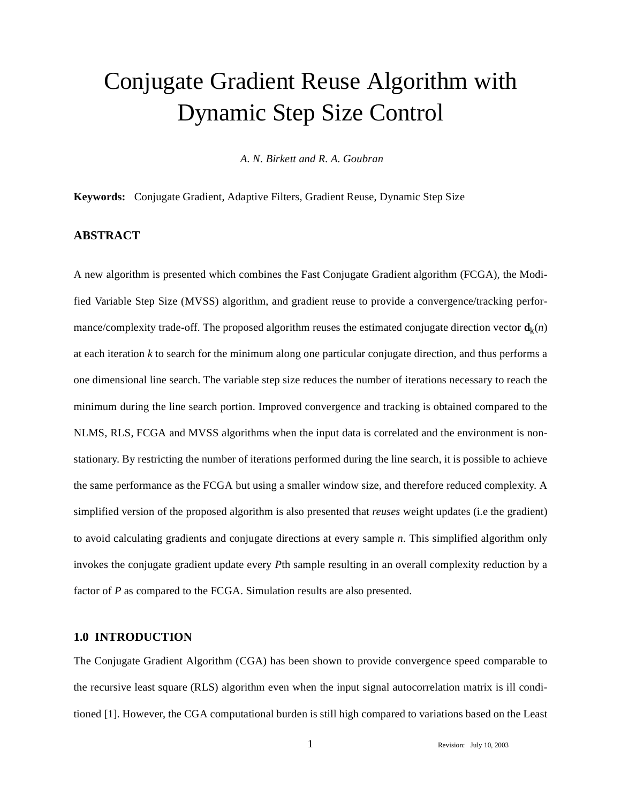# Conjugate Gradient Reuse Algorithm with Dynamic Step Size Control

*A. N. Birkett and R. A. Goubran*

**Keywords:** Conjugate Gradient, Adaptive Filters, Gradient Reuse, Dynamic Step Size

## **ABSTRACT**

A new algorithm is presented which combines the Fast Conjugate Gradient algorithm (FCGA), the Modified Variable Step Size (MVSS) algorithm, and gradient reuse to provide a convergence/tracking performance/complexity trade-off. The proposed algorithm reuses the estimated conjugate direction vector  $\mathbf{d}_k(n)$ at each iteration *k* to search for the minimum along one particular conjugate direction, and thus performs a one dimensional line search. The variable step size reduces the number of iterations necessary to reach the minimum during the line search portion. Improved convergence and tracking is obtained compared to the NLMS, RLS, FCGA and MVSS algorithms when the input data is correlated and the environment is nonstationary. By restricting the number of iterations performed during the line search, it is possible to achieve the same performance as the FCGA but using a smaller window size, and therefore reduced complexity. A simplified version of the proposed algorithm is also presented that *reuses* weight updates (i.e the gradient) to avoid calculating gradients and conjugate directions at every sample *n*. This simplified algorithm only invokes the conjugate gradient update every *P*th sample resulting in an overall complexity reduction by a factor of *P* as compared to the FCGA. Simulation results are also presented.

## **1.0 INTRODUCTION**

The Conjugate Gradient Algorithm (CGA) has been shown to provide convergence speed comparable to the recursive least square (RLS) algorithm even when the input signal autocorrelation matrix is ill conditioned [1]. However, the CGA computational burden is still high compared to variations based on the Least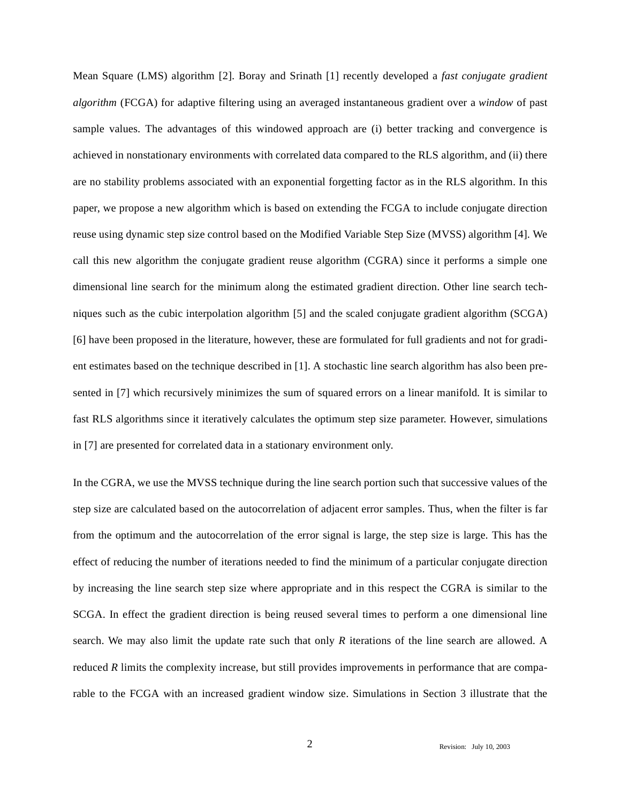Mean Square (LMS) algorithm [2]. Boray and Srinath [1] recently developed a *fast conjugate gradient algorithm* (FCGA) for adaptive filtering using an averaged instantaneous gradient over a *window* of past sample values. The advantages of this windowed approach are (i) better tracking and convergence is achieved in nonstationary environments with correlated data compared to the RLS algorithm, and (ii) there are no stability problems associated with an exponential forgetting factor as in the RLS algorithm. In this paper, we propose a new algorithm which is based on extending the FCGA to include conjugate direction reuse using dynamic step size control based on the Modified Variable Step Size (MVSS) algorithm [4]. We call this new algorithm the conjugate gradient reuse algorithm (CGRA) since it performs a simple one dimensional line search for the minimum along the estimated gradient direction. Other line search techniques such as the cubic interpolation algorithm [5] and the scaled conjugate gradient algorithm (SCGA) [6] have been proposed in the literature, however, these are formulated for full gradients and not for gradient estimates based on the technique described in [1]. A stochastic line search algorithm has also been presented in [7] which recursively minimizes the sum of squared errors on a linear manifold. It is similar to fast RLS algorithms since it iteratively calculates the optimum step size parameter. However, simulations in [7] are presented for correlated data in a stationary environment only.

In the CGRA, we use the MVSS technique during the line search portion such that successive values of the step size are calculated based on the autocorrelation of adjacent error samples. Thus, when the filter is far from the optimum and the autocorrelation of the error signal is large, the step size is large. This has the effect of reducing the number of iterations needed to find the minimum of a particular conjugate direction by increasing the line search step size where appropriate and in this respect the CGRA is similar to the SCGA. In effect the gradient direction is being reused several times to perform a one dimensional line search. We may also limit the update rate such that only *R* iterations of the line search are allowed. A reduced *R* limits the complexity increase, but still provides improvements in performance that are comparable to the FCGA with an increased gradient window size. Simulations in Section 3 illustrate that the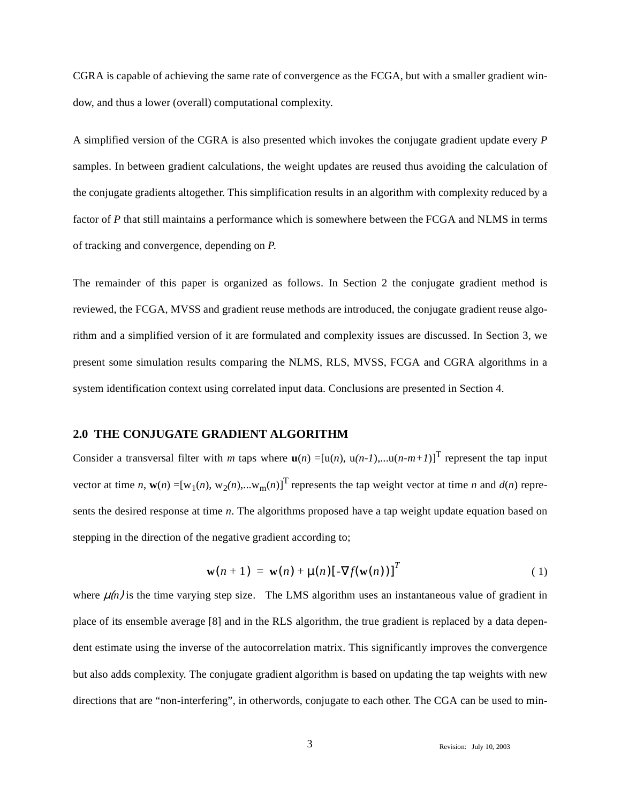CGRA is capable of achieving the same rate of convergence as the FCGA, but with a smaller gradient window, and thus a lower (overall) computational complexity.

A simplified version of the CGRA is also presented which invokes the conjugate gradient update every *P* samples. In between gradient calculations, the weight updates are reused thus avoiding the calculation of the conjugate gradients altogether. This simplification results in an algorithm with complexity reduced by a factor of *P* that still maintains a performance which is somewhere between the FCGA and NLMS in terms of tracking and convergence, depending on *P*.

The remainder of this paper is organized as follows. In Section 2 the conjugate gradient method is reviewed, the FCGA, MVSS and gradient reuse methods are introduced, the conjugate gradient reuse algorithm and a simplified version of it are formulated and complexity issues are discussed. In Section 3, we present some simulation results comparing the NLMS, RLS, MVSS, FCGA and CGRA algorithms in a system identification context using correlated input data. Conclusions are presented in Section 4.

#### **2.0 THE CONJUGATE GRADIENT ALGORITHM**

Consider a transversal filter with *m* taps where  $\mathbf{u}(n) = [\mathbf{u}(n), \mathbf{u}(n-1), \dots \mathbf{u}(n-m+1)]^{\text{T}}$  represent the tap input vector at time *n*,  $\mathbf{w}(n) = [w_1(n), w_2(n),...w_m(n)]^T$  represents the tap weight vector at time *n* and  $d(n)$  represents the desired response at time *n*. The algorithms proposed have a tap weight update equation based on stepping in the direction of the negative gradient according to;

$$
\mathbf{w}(n+1) = \mathbf{w}(n) + \mu(n) \left[ -\nabla f(\mathbf{w}(n)) \right]^T
$$
 (1)

where  $\mu(n)$  is the time varying step size. The LMS algorithm uses an instantaneous value of gradient in place of its ensemble average [8] and in the RLS algorithm, the true gradient is replaced by a data dependent estimate using the inverse of the autocorrelation matrix. This significantly improves the convergence but also adds complexity. The conjugate gradient algorithm is based on updating the tap weights with new directions that are "non-interfering", in otherwords, conjugate to each other. The CGA can be used to min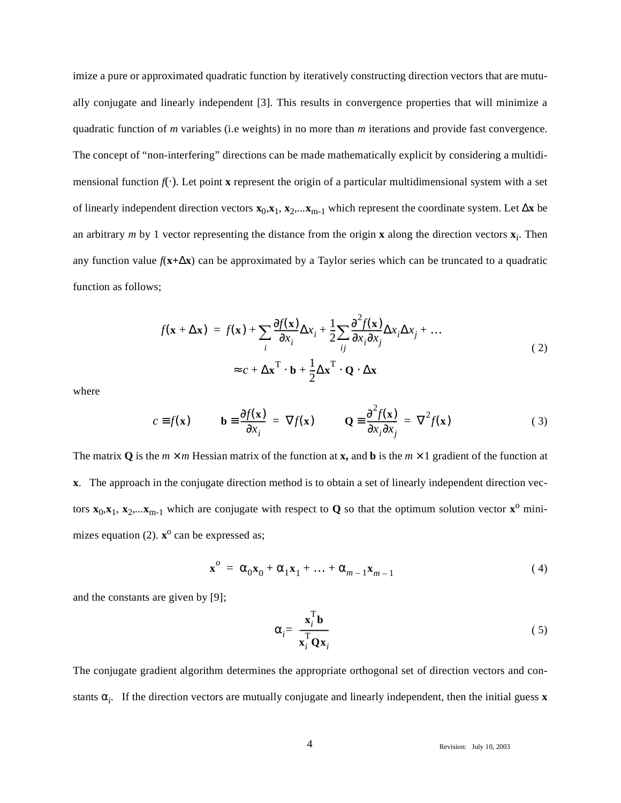imize a pure or approximated quadratic function by iteratively constructing direction vectors that are mutually conjugate and linearly independent [3]. This results in convergence properties that will minimize a quadratic function of *m* variables (i.e weights) in no more than *m* iterations and provide fast convergence. The concept of "non-interfering" directions can be made mathematically explicit by considering a multidimensional function  $f(\cdot)$ . Let point **x** represent the origin of a particular multidimensional system with a set of linearly independent direction vectors **x**0,**x**1*,* **x**2*,...***x**m-1 which represent the coordinate system. Let ∆**x** be an arbitrary  $m$  by 1 vector representing the distance from the origin **x** along the direction vectors  $\mathbf{x}_i$ . Then any function value *f*(**x+**∆**x**) can be approximated by a Taylor series which can be truncated to a quadratic function as follows;

$$
f(\mathbf{x} + \Delta \mathbf{x}) = f(\mathbf{x}) + \sum_{i} \frac{\partial f(\mathbf{x})}{\partial x_i} \Delta x_i + \frac{1}{2} \sum_{ij} \frac{\partial^2 f(\mathbf{x})}{\partial x_i \partial x_j} \Delta x_i \Delta x_j + \dots
$$
  

$$
\approx c + \Delta \mathbf{x}^{\mathrm{T}} \cdot \mathbf{b} + \frac{1}{2} \Delta \mathbf{x}^{\mathrm{T}} \cdot \mathbf{Q} \cdot \Delta \mathbf{x}
$$
 (2)

where

$$
c \equiv f(\mathbf{x}) \qquad \mathbf{b} \equiv \frac{\partial f(\mathbf{x})}{\partial x_i} = \nabla f(\mathbf{x}) \qquad \mathbf{Q} \equiv \frac{\partial^2 f(\mathbf{x})}{\partial x_i \partial x_j} = \nabla^2 f(\mathbf{x}) \tag{3}
$$

The matrix **Q** is the  $m \times m$  Hessian matrix of the function at **x**, and **b** is the  $m \times 1$  gradient of the function at **x**. The approach in the conjugate direction method is to obtain a set of linearly independent direction vectors  $\mathbf{x}_0, \mathbf{x}_1, \mathbf{x}_2, \dots, \mathbf{x}_{m-1}$  which are conjugate with respect to **Q** so that the optimum solution vector  $\mathbf{x}^0$  minimizes equation (2).  $\mathbf{x}^{\text{o}}$  can be expressed as;

$$
\mathbf{x}^{\circ} = \alpha_0 \mathbf{x}_0 + \alpha_1 \mathbf{x}_1 + \dots + \alpha_{m-1} \mathbf{x}_{m-1}
$$
 (4)

and the constants are given by [9];

$$
\alpha_i = \frac{\mathbf{x}_i^{\mathrm{T}} \mathbf{b}}{\mathbf{x}_i^{\mathrm{T}} \mathbf{Q} \mathbf{x}_i}
$$
 (5)

The conjugate gradient algorithm determines the appropriate orthogonal set of direction vectors and constants  $\alpha_i$ . If the direction vectors are mutually conjugate and linearly independent, then the initial guess **x**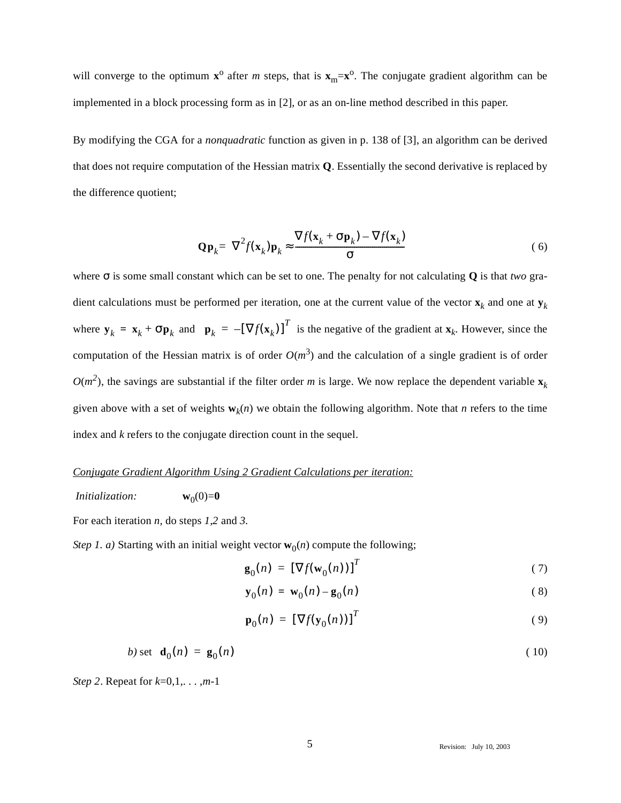will converge to the optimum  $\mathbf{x}^{\text{o}}$  after *m* steps, that is  $\mathbf{x}_{\text{m}}=\mathbf{x}^{\text{o}}$ . The conjugate gradient algorithm can be implemented in a block processing form as in [2], or as an on-line method described in this paper.

By modifying the CGA for a *nonquadratic* function as given in p. 138 of [3], an algorithm can be derived that does not require computation of the Hessian matrix **Q**. Essentially the second derivative is replaced by the difference quotient;

$$
\mathbf{Q}\mathbf{p}_k = \nabla^2 f(\mathbf{x}_k)\mathbf{p}_k \approx \frac{\nabla f(\mathbf{x}_k + \sigma \mathbf{p}_k) - \nabla f(\mathbf{x}_k)}{\sigma} \tag{6}
$$

where σ is some small constant which can be set to one. The penalty for not calculating **Q** is that *two* gradient calculations must be performed per iteration, one at the current value of the vector  $\mathbf{x}_k$  and one at  $\mathbf{y}_k$ where  $\mathbf{y}_k = \mathbf{x}_k + \sigma \mathbf{p}_k$  and  $\mathbf{p}_k = -[\nabla f(\mathbf{x}_k)]^T$  is the negative of the gradient at  $\mathbf{x}_k$ . However, since the computation of the Hessian matrix is of order  $O(m^3)$  and the calculation of a single gradient is of order  $O(m^2)$ , the savings are substantial if the filter order *m* is large. We now replace the dependent variable  $\mathbf{x}_k$ given above with a set of weights  $w_k(n)$  we obtain the following algorithm. Note that *n* refers to the time index and *k* refers to the conjugate direction count in the sequel.

## *Conjugate Gradient Algorithm Using 2 Gradient Calculations per iteration:*

*Initialization:*  $\mathbf{w}_0(0)=0$ 

For each iteration *n,* do steps *1,2* and *3.*

*Step 1. a)* Starting with an initial weight vector  $w_0(n)$  compute the following;

$$
\mathbf{g}_0(n) = \left[\nabla f(\mathbf{w}_0(n))\right]^T\tag{7}
$$

$$
\mathbf{y}_0(n) = \mathbf{w}_0(n) - \mathbf{g}_0(n) \tag{8}
$$

$$
\mathbf{p}_0(n) = \left[\nabla f(\mathbf{y}_0(n))\right]^T\tag{9}
$$

$$
b) \text{ set } \mathbf{d}_0(n) = \mathbf{g}_0(n) \tag{10}
$$

*Step 2*. Repeat for *k*=0,1,. . . ,*m*-1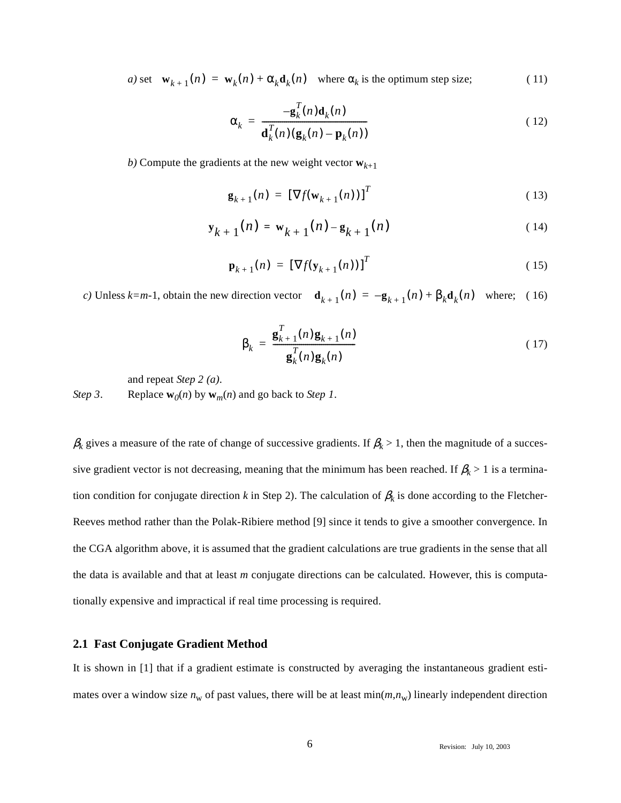*a)* set  $\mathbf{w}_{k+1}(n) = \mathbf{w}_k(n) + \alpha_k \mathbf{d}_k(n)$  where  $\alpha_k$  is the optimum step size; (11)

$$
\alpha_k = \frac{-\mathbf{g}_k^T(n)\mathbf{d}_k(n)}{\mathbf{d}_k^T(n)(\mathbf{g}_k(n) - \mathbf{p}_k(n))}
$$
(12)

*b*) Compute the gradients at the new weight vector  $\mathbf{w}_{k+1}$ 

$$
\mathbf{g}_{k+1}(n) = \left[\nabla f(\mathbf{w}_{k+1}(n))\right]^T
$$
\n(13)

$$
\mathbf{y}_{k+1}(n) = \mathbf{w}_{k+1}(n) - \mathbf{g}_{k+1}(n) \tag{14}
$$

$$
\mathbf{p}_{k+1}(n) = \left[\nabla f(\mathbf{y}_{k+1}(n))\right]^T
$$
\n(15)

*c*) Unless  $k=m-1$ , obtain the new direction vector  $\mathbf{d}_{k+1}(n) = -\mathbf{g}_{k+1}(n) + \beta_k \mathbf{d}_k(n)$  where; (16)

$$
\beta_k = \frac{\mathbf{g}_{k+1}^T(n)\mathbf{g}_{k+1}(n)}{\mathbf{g}_k^T(n)\mathbf{g}_k(n)}
$$
(17)

and repeat *Step 2 (a)*.

*Step 3*. Replace  $\mathbf{w}_0(n)$  by  $\mathbf{w}_m(n)$  and go back to *Step 1*.

 $\beta_k$  gives a measure of the rate of change of successive gradients. If  $\beta_k > 1$ , then the magnitude of a successive gradient vector is not decreasing, meaning that the minimum has been reached. If  $\beta_k > 1$  is a termination condition for conjugate direction *k* in Step 2). The calculation of  $\beta_k$  is done according to the Fletcher-Reeves method rather than the Polak-Ribiere method [9] since it tends to give a smoother convergence. In the CGA algorithm above, it is assumed that the gradient calculations are true gradients in the sense that all the data is available and that at least *m* conjugate directions can be calculated. However, this is computationally expensive and impractical if real time processing is required.

## **2.1 Fast Conjugate Gradient Method**

It is shown in [1] that if a gradient estimate is constructed by averaging the instantaneous gradient estimates over a window size  $n_w$  of past values, there will be at least  $min(m, n_w)$  linearly independent direction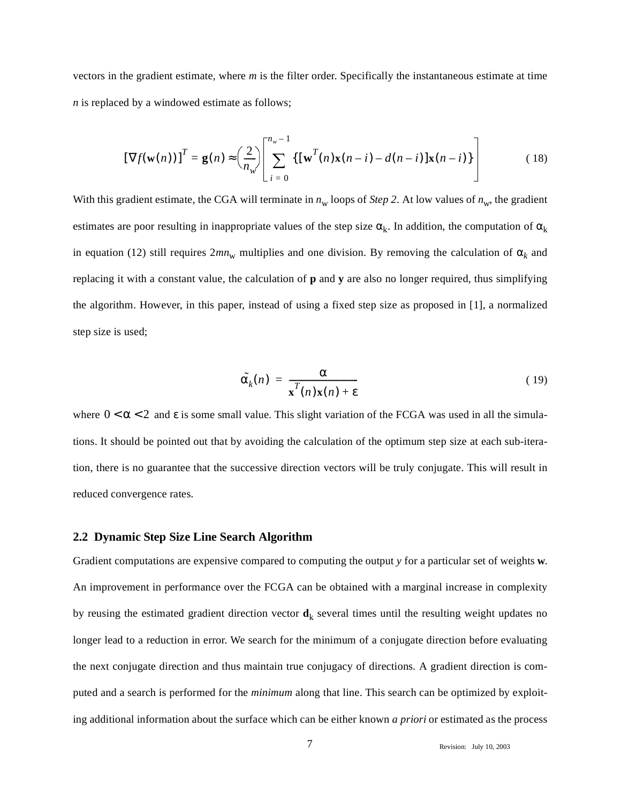vectors in the gradient estimate, where *m* is the filter order. Specifically the instantaneous estimate at time *n* is replaced by a windowed estimate as follows;

$$
\left[\nabla f(\mathbf{w}(n))\right]^T = \mathbf{g}(n) \approx \left(\frac{2}{n_w}\right) \left[\sum_{i=0}^{n_w - 1} \left\{ \left[\mathbf{w}^T(n)\mathbf{x}(n-i) - d(n-i)\right]\mathbf{x}(n-i) \right\} \right]
$$
(18)

With this gradient estimate, the CGA will terminate in  $n_w$  loops of *Step 2*. At low values of  $n_w$ , the gradient estimates are poor resulting in inappropriate values of the step size  $\alpha_k$ . In addition, the computation of  $\alpha_k$ in equation (12) still requires  $2mn_w$  multiplies and one division. By removing the calculation of  $\alpha_k$  and replacing it with a constant value, the calculation of **p** and **y** are also no longer required, thus simplifying the algorithm. However, in this paper, instead of using a fixed step size as proposed in [1], a normalized step size is used;

$$
\tilde{\alpha}_k(n) = \frac{\alpha}{\mathbf{x}^T(n)\mathbf{x}(n) + \varepsilon}
$$
\n(19)

where  $0 < \alpha < 2$  and  $\varepsilon$  is some small value. This slight variation of the FCGA was used in all the simulations. It should be pointed out that by avoiding the calculation of the optimum step size at each sub-iteration, there is no guarantee that the successive direction vectors will be truly conjugate. This will result in reduced convergence rates.

#### **2.2 Dynamic Step Size Line Search Algorithm**

Gradient computations are expensive compared to computing the output *y* for a particular set of weights **w**. An improvement in performance over the FCGA can be obtained with a marginal increase in complexity by reusing the estimated gradient direction vector  $\mathbf{d}_k$  several times until the resulting weight updates no longer lead to a reduction in error. We search for the minimum of a conjugate direction before evaluating the next conjugate direction and thus maintain true conjugacy of directions. A gradient direction is computed and a search is performed for the *minimum* along that line. This search can be optimized by exploiting additional information about the surface which can be either known *a priori* or estimated as the process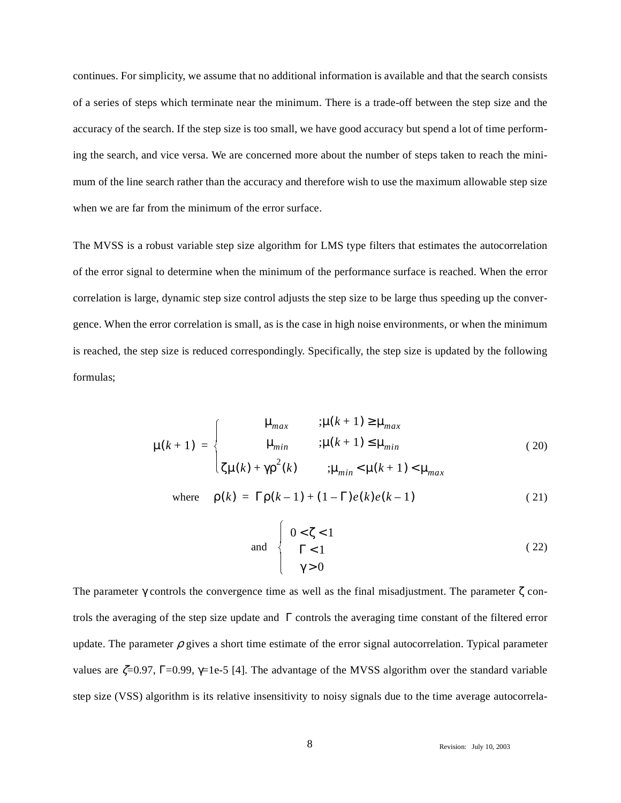continues. For simplicity, we assume that no additional information is available and that the search consists of a series of steps which terminate near the minimum. There is a trade-off between the step size and the accuracy of the search. If the step size is too small, we have good accuracy but spend a lot of time performing the search, and vice versa. We are concerned more about the number of steps taken to reach the minimum of the line search rather than the accuracy and therefore wish to use the maximum allowable step size when we are far from the minimum of the error surface.

The MVSS is a robust variable step size algorithm for LMS type filters that estimates the autocorrelation of the error signal to determine when the minimum of the performance surface is reached. When the error correlation is large, dynamic step size control adjusts the step size to be large thus speeding up the convergence. When the error correlation is small, as is the case in high noise environments, or when the minimum is reached, the step size is reduced correspondingly. Specifically, the step size is updated by the following formulas;

$$
\mu(k+1) = \begin{cases}\n\mu_{max} & ; \mu(k+1) \ge \mu_{max} \\
\mu_{min} & ; \mu(k+1) \le \mu_{min} \\
\zeta \mu(k) + \gamma \rho^{2}(k) & ; \mu_{min} < \mu(k+1) < \mu_{max}\n\end{cases}
$$
\n(20)

where 
$$
\rho(k) = \Gamma \rho(k-1) + (1-\Gamma)e(k)e(k-1)
$$
 (21)

and 
$$
\begin{cases}\n0 < \zeta < 1 \\
\Gamma < 1 \\
\gamma > 0\n\end{cases}
$$
\n(22)

The parameter  $\gamma$  controls the convergence time as well as the final misadjustment. The parameter  $\zeta$  controls the averaging of the step size update and Γ controls the averaging time constant of the filtered error update. The parameter  $\rho$  gives a short time estimate of the error signal autocorrelation. Typical parameter values are  $\zeta = 0.97$ , Γ=0.99,  $\gamma = 1e-5$  [4]. The advantage of the MVSS algorithm over the standard variable step size (VSS) algorithm is its relative insensitivity to noisy signals due to the time average autocorrela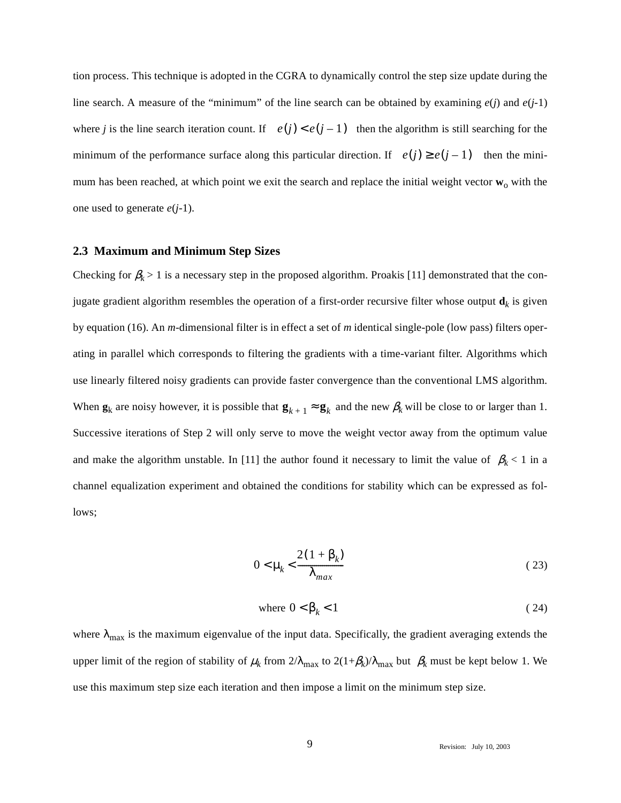tion process. This technique is adopted in the CGRA to dynamically control the step size update during the line search. A measure of the "minimum" of the line search can be obtained by examining  $e(j)$  and  $e(j-1)$ where *j* is the line search iteration count. If  $e(j) < e(j - 1)$  then the algorithm is still searching for the minimum of the performance surface along this particular direction. If  $e(j) \geq e(j-1)$  then the minimum has been reached, at which point we exit the search and replace the initial weight vector  $w_0$  with the one used to generate *e*(*j-*1).

#### **2.3 Maximum and Minimum Step Sizes**

Checking for  $\beta_k > 1$  is a necessary step in the proposed algorithm. Proakis [11] demonstrated that the conjugate gradient algorithm resembles the operation of a first-order recursive filter whose output  $\mathbf{d}_k$  is given by equation (16). An *m*-dimensional filter is in effect a set of *m* identical single-pole (low pass) filters operating in parallel which corresponds to filtering the gradients with a time-variant filter. Algorithms which use linearly filtered noisy gradients can provide faster convergence than the conventional LMS algorithm. When  $\mathbf{g}_k$  are noisy however, it is possible that  $\mathbf{g}_{k+1} \approx \mathbf{g}_k$  and the new  $\beta_k$  will be close to or larger than 1. Successive iterations of Step 2 will only serve to move the weight vector away from the optimum value and make the algorithm unstable. In [11] the author found it necessary to limit the value of  $\beta_k$  < 1 in a channel equalization experiment and obtained the conditions for stability which can be expressed as follows;

$$
0 < \mu_k < \frac{2(1 + \beta_k)}{\lambda_{max}} \tag{23}
$$

where 
$$
0 < \beta_k < 1
$$
 (24)

where  $\lambda_{\text{max}}$  is the maximum eigenvalue of the input data. Specifically, the gradient averaging extends the upper limit of the region of stability of  $\mu_k$  from  $2/\lambda_{\text{max}}$  to  $2(1+\beta_k)/\lambda_{\text{max}}$  but  $\beta_k$  must be kept below 1. We use this maximum step size each iteration and then impose a limit on the minimum step size.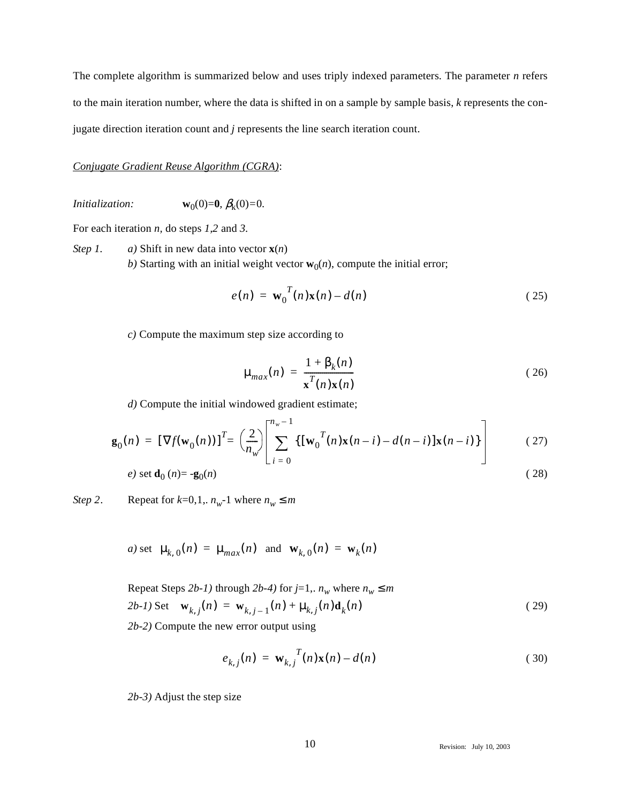The complete algorithm is summarized below and uses triply indexed parameters. The parameter *n* refers to the main iteration number, where the data is shifted in on a sample by sample basis, *k* represents the conjugate direction iteration count and *j* represents the line search iteration count.

### *Conjugate Gradient Reuse Algorithm (CGRA)*:

*Initialization:* **w**<sub>0</sub>(0)=**0***,*  $\beta_k$ (0)=0*.* 

For each iteration *n,* do steps *1,2* and *3.*

*Step 1. a)* Shift in new data into vector **x**(*n*) *b*) Starting with an initial weight vector  $w_0(n)$ , compute the initial error;

$$
e(n) = \mathbf{w}_0^T(n)\mathbf{x}(n) - d(n) \tag{25}
$$

*c)* Compute the maximum step size according to

$$
\mu_{max}(n) = \frac{1 + \beta_k(n)}{\mathbf{x}^T(n)\mathbf{x}(n)}
$$
\n(26)

*d)* Compute the initial windowed gradient estimate;

$$
\mathbf{g}_0(n) = \left[\nabla f(\mathbf{w}_0(n))\right]^T = \left(\frac{2}{n_w}\right)\left[\sum_{i=0}^{n_w-1} \left\{\left[\mathbf{w}_0^T(n)\mathbf{x}(n-i) - d(n-i)\right]\mathbf{x}(n-i)\right\}\right] \tag{27}
$$

$$
e) \text{ set } \mathbf{d}_0(n) = -\mathbf{g}_0(n) \tag{28}
$$

*Step 2*. Repeat for  $k=0,1, n_w-1$  where  $n_w \le m$ 

a) set 
$$
\mu_{k,0}(n) = \mu_{max}(n)
$$
 and  $\mathbf{w}_{k,0}(n) = \mathbf{w}_k(n)$ 

Repeat Steps 2*b-1*) through 2*b-4*) for 
$$
j=1
$$
,  $n_w$  where  $n_w \le m$   
2*b-1*) Set  $\mathbf{w}_{k,j}(n) = \mathbf{w}_{k,j-1}(n) + \mu_{k,j}(n)\mathbf{d}_k(n)$  (29)

*2b-2)* Compute the new error output using

$$
e_{k,j}(n) = \mathbf{w}_{k,j}^T(n)\mathbf{x}(n) - d(n) \tag{30}
$$

*2b-3)* Adjust the step size

10 Revision: July 10, 2003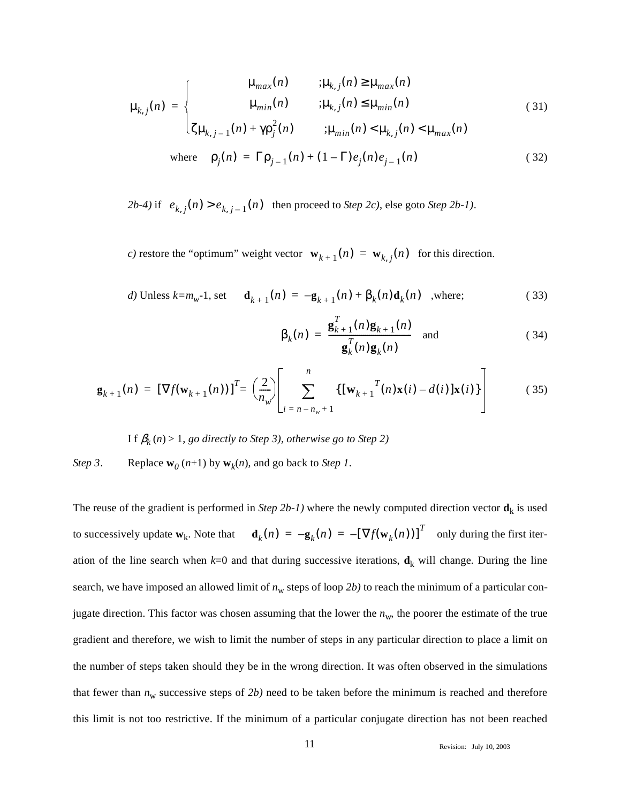$$
\mu_{k,j}(n) = \begin{cases}\n\mu_{max}(n) & ; \mu_{k,j}(n) \ge \mu_{max}(n) \\
\mu_{min}(n) & ; \mu_{k,j}(n) \le \mu_{min}(n) \\
\zeta \mu_{k,j-1}(n) + \gamma \rho_j^2(n) & ; \mu_{min}(n) < \mu_{k,j}(n) < \mu_{max}(n)\n\end{cases} \tag{31}
$$
\nwhere  $\rho_j(n) = \Gamma \rho_{j-1}(n) + (1 - \Gamma) e_j(n) e_{j-1}(n)$  (32)

 $2b-4$ ) if  $e_{k,j}(n) > e_{k,j-1}(n)$  then proceed to *Step 2c*), else goto *Step 2b-1*).

*c*) restore the "optimum" weight vector  $\mathbf{w}_{k+1}(n) = \mathbf{w}_{k,j}(n)$  for this direction.

d) Unless 
$$
k=m_w-1
$$
, set  $\mathbf{d}_{k+1}(n) = -\mathbf{g}_{k+1}(n) + \beta_k(n)\mathbf{d}_k(n)$ , where; (33)

$$
\beta_k(n) = \frac{\mathbf{g}_{k+1}^T(n)\mathbf{g}_{k+1}(n)}{\mathbf{g}_k^T(n)\mathbf{g}_k(n)} \quad \text{and} \tag{34}
$$

$$
\mathbf{g}_{k+1}(n) = \left[\nabla f(\mathbf{w}_{k+1}(n))\right]^T = \left(\frac{2}{n_w}\right)\left[\sum_{i=n-n_w+1}^{n} \left\{\left[\mathbf{w}_{k+1}^T(n)\mathbf{x}(i) - d(i)\right]\mathbf{x}(i)\right\}\right]
$$
(35)

I f  $\beta_k$  (n) > 1, go directly to Step 3), otherwise go to Step 2)

## *Step 3*. Replace  $\mathbf{w}_0(n+1)$  by  $\mathbf{w}_k(n)$ , and go back to *Step 1*.

The reuse of the gradient is performed in *Step 2b-1*) where the newly computed direction vector  $\mathbf{d}_k$  is used to successively update  $\mathbf{w}_k$ . Note that  $\mathbf{d}_k(n) = -\mathbf{g}_k(n) = -[\nabla f(\mathbf{w}_k(n))]^T$  only during the first iteration of the line search when  $k=0$  and that during successive iterations,  $\mathbf{d}_k$  will change. During the line search, we have imposed an allowed limit of  $n_w$  steps of loop 2b) to reach the minimum of a particular conjugate direction. This factor was chosen assuming that the lower the  $n_w$ , the poorer the estimate of the true gradient and therefore, we wish to limit the number of steps in any particular direction to place a limit on the number of steps taken should they be in the wrong direction. It was often observed in the simulations that fewer than  $n_w$  successive steps of 2b) need to be taken before the minimum is reached and therefore this limit is not too restrictive. If the minimum of a particular conjugate direction has not been reached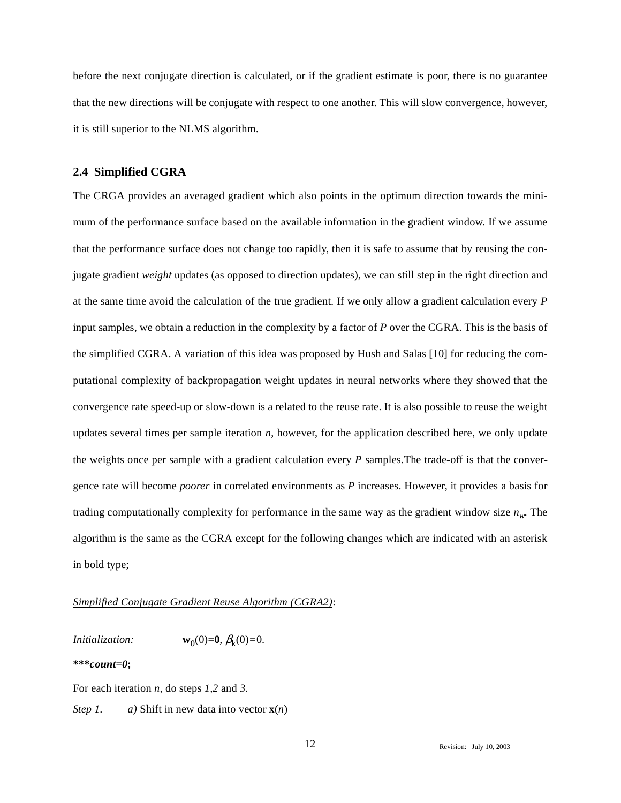before the next conjugate direction is calculated, or if the gradient estimate is poor, there is no guarantee that the new directions will be conjugate with respect to one another. This will slow convergence, however, it is still superior to the NLMS algorithm.

#### **2.4 Simplified CGRA**

The CRGA provides an averaged gradient which also points in the optimum direction towards the minimum of the performance surface based on the available information in the gradient window. If we assume that the performance surface does not change too rapidly, then it is safe to assume that by reusing the conjugate gradient *weight* updates (as opposed to direction updates), we can still step in the right direction and at the same time avoid the calculation of the true gradient. If we only allow a gradient calculation every *P* input samples, we obtain a reduction in the complexity by a factor of *P* over the CGRA. This is the basis of the simplified CGRA. A variation of this idea was proposed by Hush and Salas [10] for reducing the computational complexity of backpropagation weight updates in neural networks where they showed that the convergence rate speed-up or slow-down is a related to the reuse rate. It is also possible to reuse the weight updates several times per sample iteration *n*, however, for the application described here, we only update the weights once per sample with a gradient calculation every *P* samples.The trade-off is that the convergence rate will become *poorer* in correlated environments as *P* increases. However, it provides a basis for trading computationally complexity for performance in the same way as the gradient window size  $n_w$ . The algorithm is the same as the CGRA except for the following changes which are indicated with an asterisk in bold type;

### *Simplified Conjugate Gradient Reuse Algorithm (CGRA2)*:

*Initialization:* **w**<sub>0</sub>(0)=**0***,*  $\beta_k(0)=0$ .

#### **\*\*\****count=0***;**

For each iteration *n,* do steps *1,2* and *3.*

*Step 1. a)* Shift in new data into vector **x**(*n*)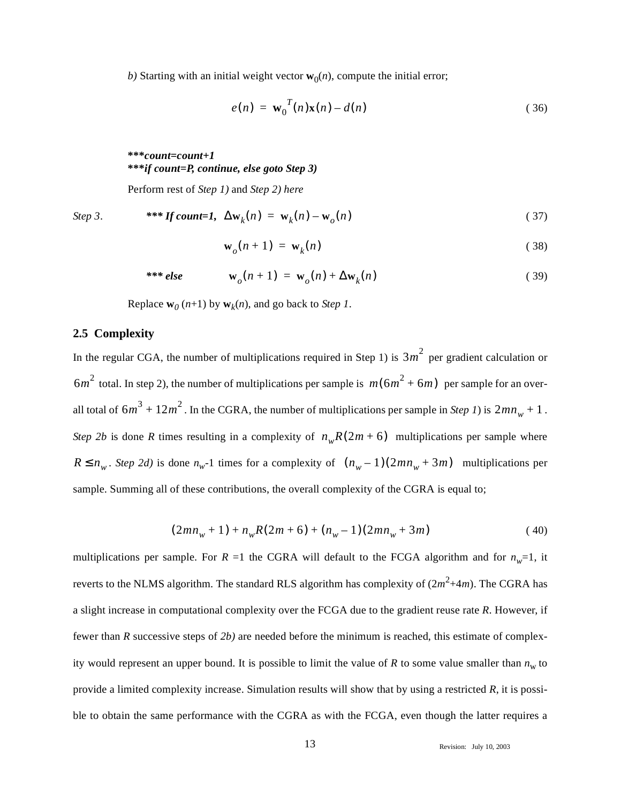*b*) Starting with an initial weight vector  $w_0(n)$ , compute the initial error;

$$
e(n) = \mathbf{w}_0^T(n)\mathbf{x}(n) - d(n) \tag{36}
$$

**\*\*\****count=count+1* **\*\*\****if count=P, continue, else goto Step 3)*

Perform rest of *Step 1)* and *Step 2) here*

Step 3. 
$$
*** If count=1, \Delta w_k(n) = w_k(n) - w_o(n)
$$
 (37)

$$
\mathbf{w}_o(n+1) = \mathbf{w}_k(n) \tag{38}
$$

$$
*** else \t wo(n+1) = wo(n) + \Delta wk(n)
$$
\t(39)

Replace  $\mathbf{w}_0(n+1)$  by  $\mathbf{w}_k(n)$ , and go back to *Step 1*.

### **2.5 Complexity**

In the regular CGA, the number of multiplications required in Step 1) is  $3m^2$  per gradient calculation or  $6m^2$  total. In step 2), the number of multiplications per sample is  $m(6m^2 + 6m)$  per sample for an overall total of  $6m^3 + 12m^2$ . In the CGRA, the number of multiplications per sample in *Step 1*) is  $2mn_w + 1$ . *Step 2b* is done *R* times resulting in a complexity of  $n_wR(2m+6)$  multiplications per sample where  $R \le n_w$ . *Step 2d*) is done  $n_w$ -1 times for a complexity of  $(n_w - 1)(2mn_w + 3m)$  multiplications per sample. Summing all of these contributions, the overall complexity of the CGRA is equal to;

$$
(2mn_w + 1) + n_wR(2m + 6) + (n_w - 1)(2mn_w + 3m)
$$
\n(40)

multiplications per sample. For *R* =1 the CGRA will default to the FCGA algorithm and for  $n_w=1$ , it reverts to the NLMS algorithm. The standard RLS algorithm has complexity of  $(2m^2+4m)$ . The CGRA has a slight increase in computational complexity over the FCGA due to the gradient reuse rate *R*. However, if fewer than *R* successive steps of *2b)* are needed before the minimum is reached, this estimate of complexity would represent an upper bound. It is possible to limit the value of *R* to some value smaller than  $n_w$  to provide a limited complexity increase. Simulation results will show that by using a restricted *R*, it is possible to obtain the same performance with the CGRA as with the FCGA, even though the latter requires a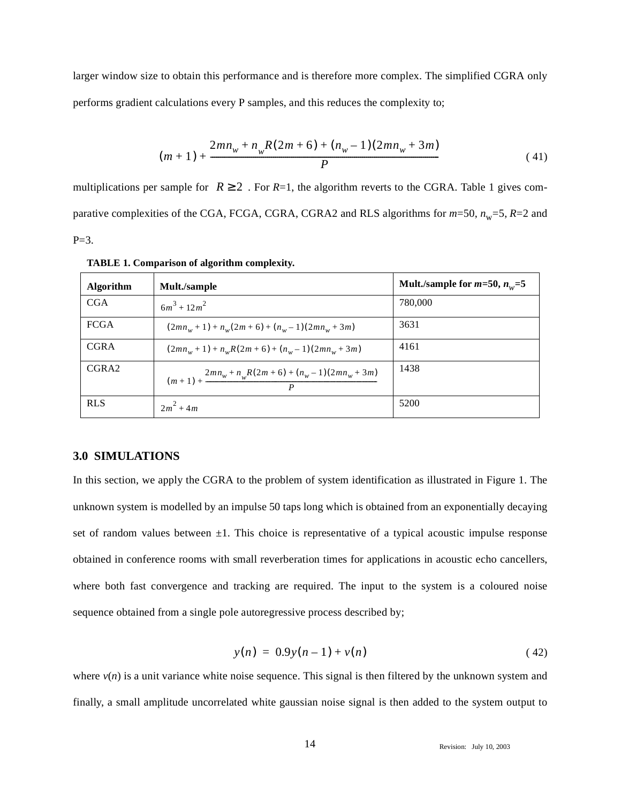larger window size to obtain this performance and is therefore more complex. The simplified CGRA only performs gradient calculations every P samples, and this reduces the complexity to;

$$
(m+1) + \frac{2mn_w + n_wR(2m+6) + (n_w-1)(2mn_w + 3m)}{P}
$$
\n(41)

multiplications per sample for  $R \ge 2$ . For  $R=1$ , the algorithm reverts to the CGRA. Table 1 gives comparative complexities of the CGA, FCGA, CGRA, CGRA2 and RLS algorithms for  $m=50$ ,  $n_w=5$ ,  $R=2$  and  $P = 3.$ 

| <b>Algorithm</b> | Mult./sample                                                                  | Mult./sample for $m=50$ , $n_w=5$ |
|------------------|-------------------------------------------------------------------------------|-----------------------------------|
| <b>CGA</b>       | $6m^3 + 12m^2$                                                                | 780,000                           |
| <b>FCGA</b>      | $(2mn_w+1)+n_w(2m+6)+(n_w-1)(2mn_w+3m)$                                       | 3631                              |
| <b>CGRA</b>      | $(2mn_w+1)+n_wR(2m+6)+(n_w-1)(2mn_w+3m)$                                      | 4161                              |
| CGRA2            | $(m+1) + \frac{2mn_w + n_wR(2m+6) + (n_w-1)(2mn_w + 3m)}{2mn_w + n_wR(2m+6)}$ | 1438                              |
| <b>RLS</b>       | $2m^2 + 4m$                                                                   | 5200                              |

**TABLE 1. Comparison of algorithm complexity.**

#### **3.0 SIMULATIONS**

In this section, we apply the CGRA to the problem of system identification as illustrated in Figure 1. The unknown system is modelled by an impulse 50 taps long which is obtained from an exponentially decaying set of random values between  $\pm 1$ . This choice is representative of a typical acoustic impulse response obtained in conference rooms with small reverberation times for applications in acoustic echo cancellers, where both fast convergence and tracking are required. The input to the system is a coloured noise sequence obtained from a single pole autoregressive process described by;

$$
y(n) = 0.9y(n-1) + v(n)
$$
 (42)

where  $v(n)$  is a unit variance white noise sequence. This signal is then filtered by the unknown system and finally, a small amplitude uncorrelated white gaussian noise signal is then added to the system output to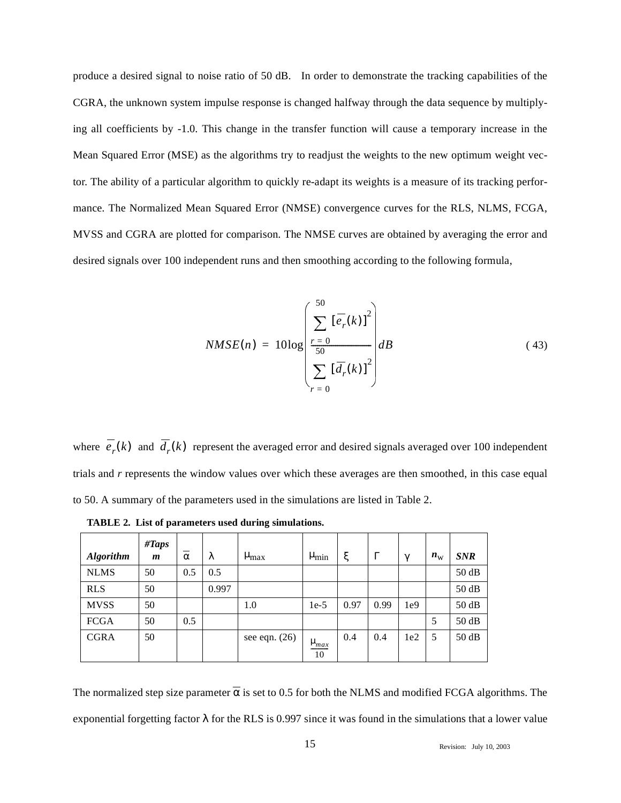produce a desired signal to noise ratio of 50 dB. In order to demonstrate the tracking capabilities of the CGRA, the unknown system impulse response is changed halfway through the data sequence by multiplying all coefficients by -1.0. This change in the transfer function will cause a temporary increase in the Mean Squared Error (MSE) as the algorithms try to readjust the weights to the new optimum weight vector. The ability of a particular algorithm to quickly re-adapt its weights is a measure of its tracking performance. The Normalized Mean Squared Error (NMSE) convergence curves for the RLS, NLMS, FCGA, MVSS and CGRA are plotted for comparison. The NMSE curves are obtained by averaging the error and desired signals over 100 independent runs and then smoothing according to the following formula,

$$
NMSE(n) = 10\log\left(\frac{\sum_{r=0}^{50} \left[\overline{e_r}(k)\right]^2}{\sum_{r=0}^{50} \left[\overline{d_r}(k)\right]^2}\right) dB\tag{43}
$$

where  $e_r(k)$  and  $d_r(k)$  represent the averaged error and desired signals averaged over 100 independent trials and *r* represents the window values over which these averages are then smoothed, in this case equal to 50. A summary of the parameters used in the simulations are listed in Table 2.

| <b>Algorithm</b> | #Taps<br>$\boldsymbol{m}$ | $\alpha$ | λ     | $\mu_{max}$     | $\mu_{\min}$      | ξ    | $\Gamma$ | $\gamma$ | $n_{\rm w}$ | <b>SNR</b> |
|------------------|---------------------------|----------|-------|-----------------|-------------------|------|----------|----------|-------------|------------|
| <b>NLMS</b>      | 50                        | 0.5      | 0.5   |                 |                   |      |          |          |             | 50 dB      |
| <b>RLS</b>       | 50                        |          | 0.997 |                 |                   |      |          |          |             | 50 dB      |
| <b>MVSS</b>      | 50                        |          |       | 1.0             | $1e-5$            | 0.97 | 0.99     | 1e9      |             | 50 dB      |
| <b>FCGA</b>      | 50                        | 0.5      |       |                 |                   |      |          |          | 5           | 50 dB      |
| <b>CGRA</b>      | 50                        |          |       | see eqn. $(26)$ | $\mu_{max}$<br>10 | 0.4  | 0.4      | 1e2      | 5           | 50 dB      |

**TABLE 2. List of parameters used during simulations.**

The normalized step size parameter  $\alpha$  is set to 0.5 for both the NLMS and modified FCGA algorithms. The exponential forgetting factor  $\lambda$  for the RLS is 0.997 since it was found in the simulations that a lower value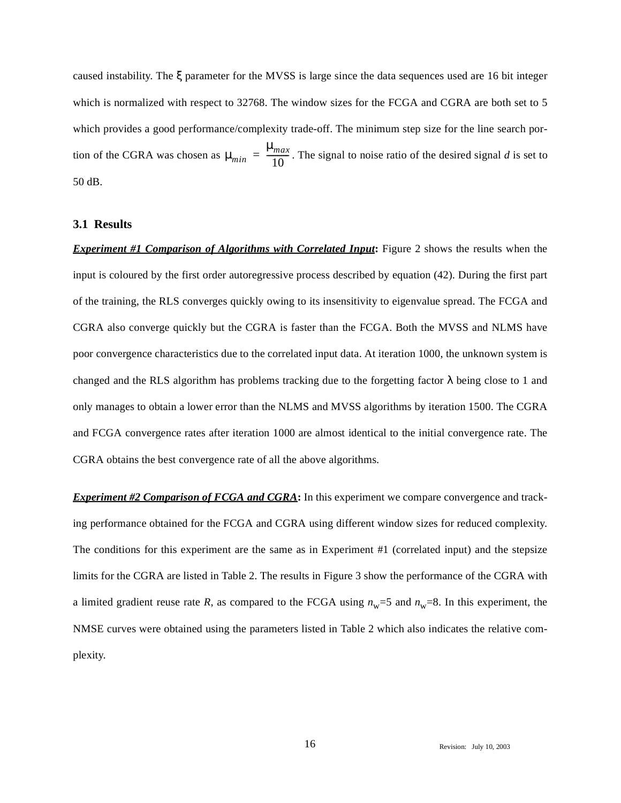caused instability. The ξ parameter for the MVSS is large since the data sequences used are 16 bit integer which is normalized with respect to 32768. The window sizes for the FCGA and CGRA are both set to 5 which provides a good performance/complexity trade-off. The minimum step size for the line search portion of the CGRA was chosen as  $\mu_{min} = \frac{m_{max}}{10}$ . The signal to noise ratio of the desired signal *d* is set to 50 dB. µ*max*  $=\frac{4444}{10}$ 

## **3.1 Results**

*Experiment #1 Comparison of Algorithms with Correlated Input***:** Figure 2 shows the results when the input is coloured by the first order autoregressive process described by equation (42). During the first part of the training, the RLS converges quickly owing to its insensitivity to eigenvalue spread. The FCGA and CGRA also converge quickly but the CGRA is faster than the FCGA. Both the MVSS and NLMS have poor convergence characteristics due to the correlated input data. At iteration 1000, the unknown system is changed and the RLS algorithm has problems tracking due to the forgetting factor  $\lambda$  being close to 1 and only manages to obtain a lower error than the NLMS and MVSS algorithms by iteration 1500. The CGRA and FCGA convergence rates after iteration 1000 are almost identical to the initial convergence rate. The CGRA obtains the best convergence rate of all the above algorithms.

*Experiment #2 Comparison of FCGA and CGRA***:** In this experiment we compare convergence and tracking performance obtained for the FCGA and CGRA using different window sizes for reduced complexity. The conditions for this experiment are the same as in Experiment #1 (correlated input) and the stepsize limits for the CGRA are listed in Table 2. The results in Figure 3 show the performance of the CGRA with a limited gradient reuse rate *R*, as compared to the FCGA using  $n_w=5$  and  $n_w=8$ . In this experiment, the NMSE curves were obtained using the parameters listed in Table 2 which also indicates the relative complexity.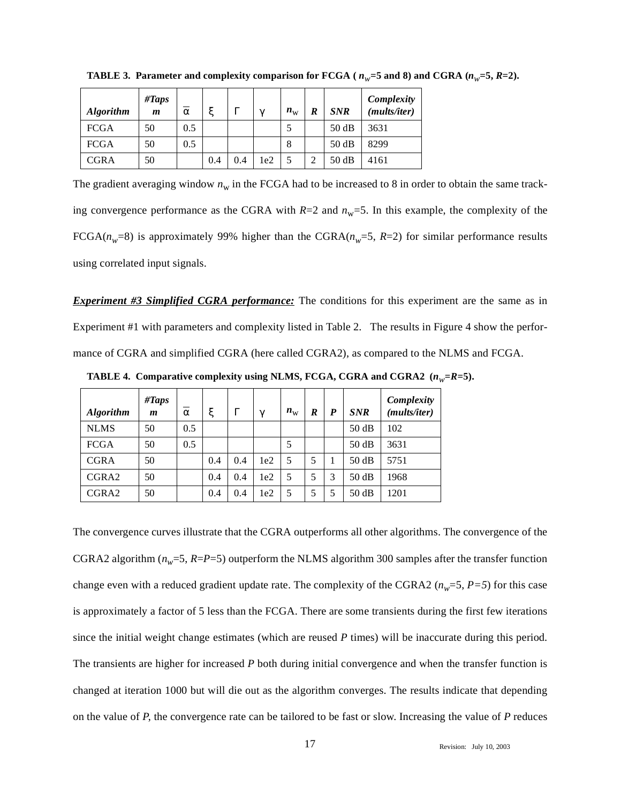| <b>Algorithm</b> | #Taps<br>m | $\alpha$ | ٣   | г   | $\mathcal{U}$ | $n_{\rm w}$ | R | <b>SNR</b> | Complexity<br>( <i>mults/iter</i> ) |
|------------------|------------|----------|-----|-----|---------------|-------------|---|------------|-------------------------------------|
| <b>FCGA</b>      | 50         | 0.5      |     |     |               |             |   | 50dB       | 3631                                |
| <b>FCGA</b>      | 50         | 0.5      |     |     |               | 8           |   | 50 dB      | 8299                                |
| <b>CGRA</b>      | 50         |          | 0.4 | 0.4 | 1e2           |             |   | 50dB       | 4161                                |

**TABLE 3.** Parameter and complexity comparison for FCGA ( $n_w$ =5 and 8) and CGRA ( $n_w$ =5,  $R=2$ ).

The gradient averaging window  $n_w$  in the FCGA had to be increased to 8 in order to obtain the same tracking convergence performance as the CGRA with  $R=2$  and  $n_w=5$ . In this example, the complexity of the FCGA( $n_w$ =8) is approximately 99% higher than the CGRA( $n_w$ =5, *R*=2) for similar performance results using correlated input signals.

*Experiment #3 Simplified CGRA performance:* The conditions for this experiment are the same as in Experiment #1 with parameters and complexity listed in Table 2. The results in Figure 4 show the performance of CGRA and simplified CGRA (here called CGRA2), as compared to the NLMS and FCGA.

| <b>Algorithm</b>  | #Taps<br>m | $\alpha$ |     | $\Gamma$ | $\mathbf v$ | $n_{\rm w}$ | R | $\boldsymbol{P}$ | <b>SNR</b> | Complexity<br>( <i>mults/iter</i> ) |
|-------------------|------------|----------|-----|----------|-------------|-------------|---|------------------|------------|-------------------------------------|
| <b>NLMS</b>       | 50         | 0.5      |     |          |             |             |   |                  | 50dB       | 102                                 |
| <b>FCGA</b>       | 50         | 0.5      |     |          |             |             |   |                  | 50dB       | 3631                                |
| <b>CGRA</b>       | 50         |          | 0.4 | 0.4      | 1e2         | 5           | 5 |                  | 50dB       | 5751                                |
| CGRA2             | 50         |          | 0.4 | 0.4      | 1e2         | 5           | 5 | 3                | 50dB       | 1968                                |
| CGRA <sub>2</sub> | 50         |          | 0.4 | 0.4      | 1e2         |             | 5 | 5                | 50dB       | 1201                                |

**TABLE 4. Comparative complexity using NLMS, FCGA, CGRA and CGRA2**  $(n_w = R = 5)$ **.** 

The convergence curves illustrate that the CGRA outperforms all other algorithms. The convergence of the CGRA2 algorithm  $(n_w=5, R=P=5)$  outperform the NLMS algorithm 300 samples after the transfer function change even with a reduced gradient update rate. The complexity of the CGRA2 ( $n_w$ =5,  $P$ =5) for this case is approximately a factor of 5 less than the FCGA. There are some transients during the first few iterations since the initial weight change estimates (which are reused *P* times) will be inaccurate during this period. The transients are higher for increased *P* both during initial convergence and when the transfer function is changed at iteration 1000 but will die out as the algorithm converges. The results indicate that depending on the value of *P*, the convergence rate can be tailored to be fast or slow. Increasing the value of *P* reduces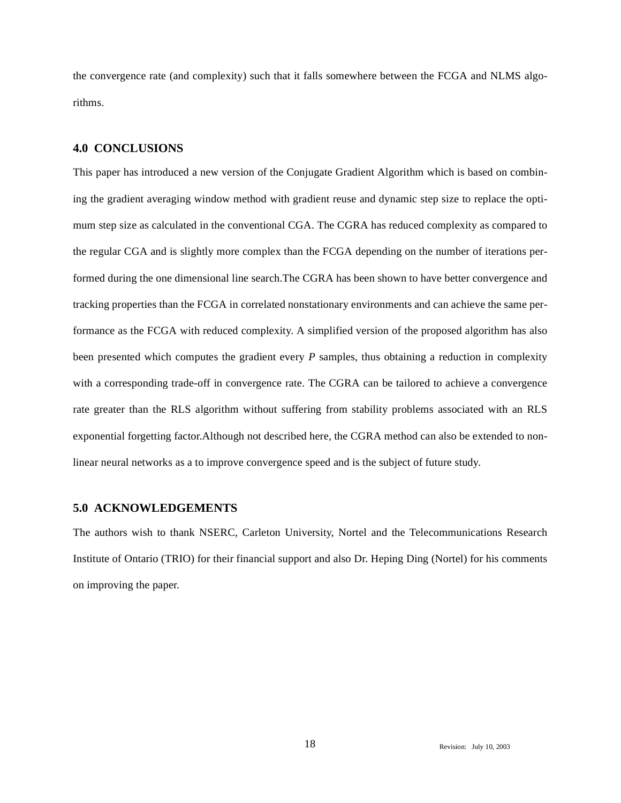the convergence rate (and complexity) such that it falls somewhere between the FCGA and NLMS algorithms.

## **4.0 CONCLUSIONS**

This paper has introduced a new version of the Conjugate Gradient Algorithm which is based on combining the gradient averaging window method with gradient reuse and dynamic step size to replace the optimum step size as calculated in the conventional CGA. The CGRA has reduced complexity as compared to the regular CGA and is slightly more complex than the FCGA depending on the number of iterations performed during the one dimensional line search.The CGRA has been shown to have better convergence and tracking properties than the FCGA in correlated nonstationary environments and can achieve the same performance as the FCGA with reduced complexity. A simplified version of the proposed algorithm has also been presented which computes the gradient every *P* samples, thus obtaining a reduction in complexity with a corresponding trade-off in convergence rate. The CGRA can be tailored to achieve a convergence rate greater than the RLS algorithm without suffering from stability problems associated with an RLS exponential forgetting factor.Although not described here, the CGRA method can also be extended to nonlinear neural networks as a to improve convergence speed and is the subject of future study.

## **5.0 ACKNOWLEDGEMENTS**

The authors wish to thank NSERC, Carleton University, Nortel and the Telecommunications Research Institute of Ontario (TRIO) for their financial support and also Dr. Heping Ding (Nortel) for his comments on improving the paper.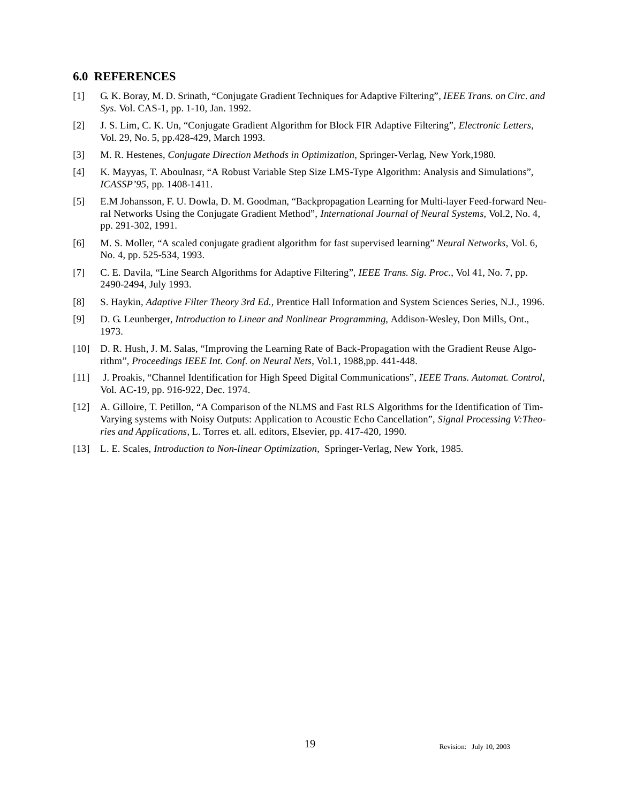#### **6.0 REFERENCES**

- [1] G. K. Boray, M. D. Srinath, "Conjugate Gradient Techniques for Adaptive Filtering", *IEEE Trans. on Circ. and Sys*. Vol. CAS-1, pp. 1-10, Jan. 1992.
- [2] J. S. Lim, C. K. Un, "Conjugate Gradient Algorithm for Block FIR Adaptive Filtering", *Electronic Letters*, Vol. 29, No. 5, pp.428-429, March 1993.
- [3] M. R. Hestenes, *Conjugate Direction Methods in Optimization*, Springer-Verlag, New York,1980.
- [4] K. Mayyas, T. Aboulnasr, "A Robust Variable Step Size LMS-Type Algorithm: Analysis and Simulations", *ICASSP'95,* pp. 1408-1411.
- [5] E.M Johansson, F. U. Dowla, D. M. Goodman, "Backpropagation Learning for Multi-layer Feed-forward Neural Networks Using the Conjugate Gradient Method", *International Journal of Neural Systems,* Vol.2, No. 4, pp. 291-302, 1991.
- [6] M. S. Moller, "A scaled conjugate gradient algorithm for fast supervised learning" *Neural Networks*, Vol. 6, No. 4, pp. 525-534, 1993.
- [7] C. E. Davila, "Line Search Algorithms for Adaptive Filtering", *IEEE Trans. Sig. Proc.*, Vol 41, No. 7, pp. 2490-2494, July 1993.
- [8] S. Haykin, *Adaptive Filter Theory 3rd Ed.*, Prentice Hall Information and System Sciences Series, N.J., 1996.
- [9] D. G. Leunberger, *Introduction to Linear and Nonlinear Programming*, Addison-Wesley, Don Mills, Ont., 1973.
- [10] D. R. Hush, J. M. Salas, "Improving the Learning Rate of Back-Propagation with the Gradient Reuse Algorithm", *Proceedings IEEE Int. Conf. on Neural Nets*, Vol.1, 1988,pp. 441-448.
- [11] J. Proakis, "Channel Identification for High Speed Digital Communications", *IEEE Trans. Automat. Control*, Vol. AC-19, pp. 916-922, Dec. 1974.
- [12] A. Gilloire, T. Petillon, "A Comparison of the NLMS and Fast RLS Algorithms for the Identification of Tim-Varying systems with Noisy Outputs: Application to Acoustic Echo Cancellation", *Signal Processing V:Theories and Applications*, L. Torres et. all. editors, Elsevier, pp. 417-420, 1990.
- [13] L. E. Scales, *Introduction to Non-linear Optimization*, Springer-Verlag, New York, 1985.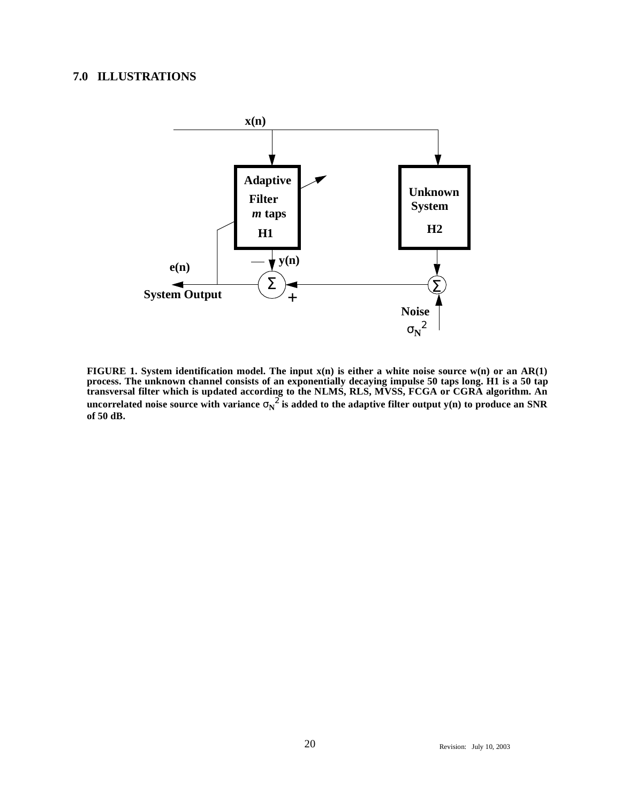# **7.0 ILLUSTRATIONS**



**FIGURE 1. System identification model. The input x(n) is either a white noise source w(n) or an AR(1) process. The unknown channel consists of an exponentially decaying impulse 50 taps long. H1 is a 50 tap transversal filter which is updated according to the NLMS, RLS, MVSS, FCGA or CGRA algorithm. An**  $u$ ncorrelated noise source with variance  $\sigma_{\!N}^2$  is added to the adaptive filter output y(n) to produce an SNR **of 50 dB.**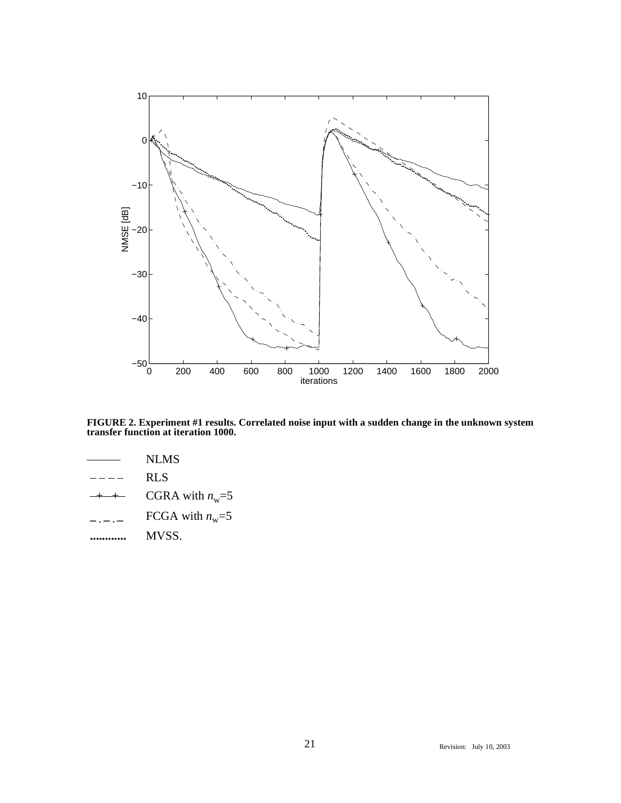

**FIGURE 2. Experiment #1 results. Correlated noise input with a sudden change in the unknown system transfer function at iteration 1000.**

- NLMS
- RLS
- CGRA with  $n_w$ =5
- FCGA with  $n_w = 5$
- **............** MVSS.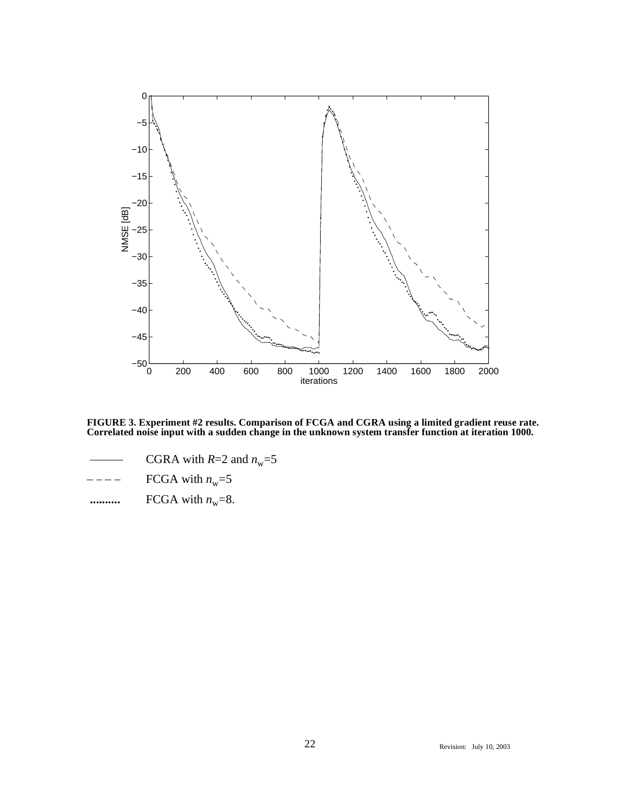

**FIGURE 3. Experiment #2 results. Comparison of FCGA and CGRA using a limited gradient reuse rate. Correlated noise input with a sudden change in the unknown system transfer function at iteration 1000.**

- CGRA with  $R=2$  and  $n_w=5$
- FCGA with  $n_w$ =5
- $\cdots$  FCGA with  $n_w=8$ .